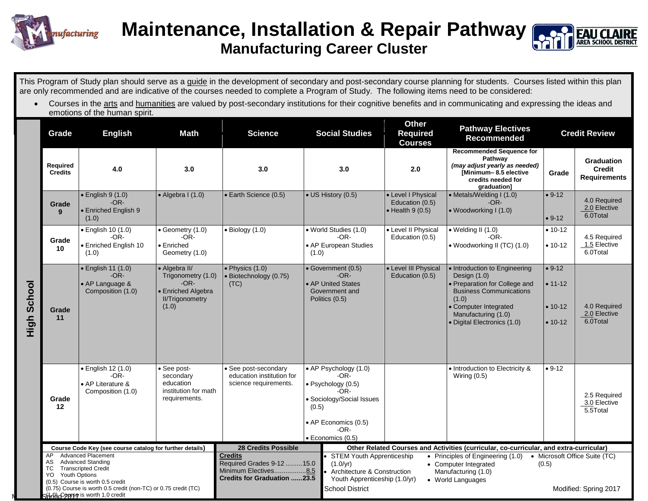

## **Maintenance, Installation & Repair Pathway Manufacturing Career Cluster**

This Program of Study plan should serve as a guide in the development of secondary and post-secondary course planning for students. Courses listed within this plan are only recommended and are indicative of the courses needed to complete a Program of Study. The following items need to be considered:

• Courses in the arts and humanities are valued by post-secondary institutions for their cognitive benefits and in communicating and expressing the ideas and emotions of the human spirit.

|                    | Grade                                                                                                                                                                                                                                     | <b>English</b>                                                               | Math                                                                                                   | <b>Science</b>                                                                                                                                                                                                                                                                                                                                                                                           | <b>Social Studies</b>                                                                                                                                          | <b>Other</b><br><b>Required</b><br><b>Courses</b>                 | <b>Pathway Electives</b><br><b>Recommended</b>                                                                                                                                                           |                                                   | <b>Credit Review</b>                                      |
|--------------------|-------------------------------------------------------------------------------------------------------------------------------------------------------------------------------------------------------------------------------------------|------------------------------------------------------------------------------|--------------------------------------------------------------------------------------------------------|----------------------------------------------------------------------------------------------------------------------------------------------------------------------------------------------------------------------------------------------------------------------------------------------------------------------------------------------------------------------------------------------------------|----------------------------------------------------------------------------------------------------------------------------------------------------------------|-------------------------------------------------------------------|----------------------------------------------------------------------------------------------------------------------------------------------------------------------------------------------------------|---------------------------------------------------|-----------------------------------------------------------|
|                    | Required<br><b>Credits</b>                                                                                                                                                                                                                | 4.0                                                                          | 3.0                                                                                                    | 3.0                                                                                                                                                                                                                                                                                                                                                                                                      | 3.0                                                                                                                                                            | 2.0                                                               | <b>Recommended Sequence for</b><br>Pathway<br>(may adjust yearly as needed)<br>[Minimum-8.5 elective<br>credits needed for<br>graduation]                                                                | Grade                                             | <b>Graduation</b><br><b>Credit</b><br><b>Requirements</b> |
|                    | Grade<br>$\mathbf{q}$                                                                                                                                                                                                                     | $\bullet$ English 9 (1.0)<br>$-OR-$<br><b>Enriched English 9</b><br>(1.0)    | $\bullet$ Algebra I (1.0)                                                                              | • Earth Science (0.5)                                                                                                                                                                                                                                                                                                                                                                                    | • US History (0.5)                                                                                                                                             | • Level I Physical<br>Education (0.5)<br>$\bullet$ Health 9 (0.5) | • Metals/Welding I (1.0)<br>$-OR-$<br>• Woodworking I (1.0)                                                                                                                                              | $• 9-12$<br>$• 9-12$                              | 4.0 Required<br>2.0 Elective<br>6.0Total                  |
| <b>High School</b> | Grade<br>10                                                                                                                                                                                                                               | · English 10 (1.0)<br>$-OR-$<br><b>Enriched English 10</b><br>(1.0)          | • Geometry (1.0)<br>$-OR-$<br>• Enriched<br>Geometry (1.0)                                             | $\bullet$ Biology (1.0)                                                                                                                                                                                                                                                                                                                                                                                  | · World Studies (1.0)<br>$-OR-$<br>• AP European Studies<br>(1.0)                                                                                              | • Level II Physical<br>Education (0.5)                            | $\bullet$ Welding II (1.0)<br>$-OR-$<br>• Woodworking II (TC) (1.0)                                                                                                                                      | $• 10 - 12$<br>$• 10-12$                          | 4.5 Required<br>1.5 Elective<br>6.0Total                  |
|                    | Grade<br>11                                                                                                                                                                                                                               | · English 11 (1.0)<br>$-OR-$<br>• AP Language &<br>Composition (1.0)         | • Algebra II/<br>Trigonometry (1.0)<br>$-OR-$<br>• Enriched Algebra<br><b>II/Trigonometry</b><br>(1.0) | $\bullet$ Physics (1.0)<br>· Biotechnology (0.75)<br>(TC)                                                                                                                                                                                                                                                                                                                                                | • Government (0.5)<br>$-OR-$<br>• AP United States<br>Government and<br>Politics (0.5)                                                                         | • Level III Physical<br>Education (0.5)                           | • Introduction to Engineering<br>Design (1.0)<br>• Preparation for College and<br><b>Business Communications</b><br>(1.0)<br>• Computer Integrated<br>Manufacturing (1.0)<br>· Digital Electronics (1.0) | $• 9-12$<br>$• 11 - 12$<br>$• 10-12$<br>$• 10-12$ | 4.0 Required<br>2.0 Elective<br>6.0Total                  |
|                    | Grade<br>12                                                                                                                                                                                                                               | $\bullet$ English 12 (1.0)<br>$-OR-$<br>AP Literature &<br>Composition (1.0) | • See post-<br>secondary<br>education<br>institution for math<br>requirements.                         | • See post-secondary<br>education institution for<br>science requirements.                                                                                                                                                                                                                                                                                                                               | • AP Psychology (1.0)<br>-OR-<br>· Psychology (0.5)<br>-OR-<br>• Sociology/Social Issues<br>(0.5)<br>• AP Economics (0.5)<br>-OR-<br>$\bullet$ Economics (0.5) |                                                                   | • Introduction to Electricity &<br>Wiring $(0.5)$                                                                                                                                                        | $• 9-12$                                          | 2.5 Required<br>3.0 Elective<br>5.5Total                  |
|                    | Course Code Key (see course catalog for further details)                                                                                                                                                                                  |                                                                              |                                                                                                        | <b>28 Credits Possible</b><br>Other Related Courses and Activities (curricular, co-curricular, and extra-curricular)                                                                                                                                                                                                                                                                                     |                                                                                                                                                                |                                                                   |                                                                                                                                                                                                          |                                                   |                                                           |
|                    | <b>Advanced Placement</b><br>AP<br><b>Advanced Standing</b><br>AS<br>TC<br><b>Transcripted Credit</b><br>YO<br><b>Youth Options</b><br>(0.5) Course is worth 0.5 credit<br>(0.75) Course is worth 0.5 credit (non-TC) or 0.75 credit (TC) |                                                                              |                                                                                                        | <b>Credits</b><br>• STEM Youth Apprenticeship<br>• Principles of Engineering (1.0)<br>• Microsoft Office Suite (TC)<br>Required Grades 9-12  15.0<br>$(1.0/\nu r)$<br>• Computer Integrated<br>(0.5)<br>Minimum Electives8.5<br>Architecture & Construction<br>Manufacturing (1.0)<br><b>Credits for Graduation 23.5</b><br>Youth Apprenticeship (1.0/yr)<br>• World Languages<br><b>School District</b> |                                                                                                                                                                |                                                                   | Modified: Spring 2017                                                                                                                                                                                    |                                                   |                                                           |
|                    | SHrth Copyse is worth 1.0 credit                                                                                                                                                                                                          |                                                                              |                                                                                                        |                                                                                                                                                                                                                                                                                                                                                                                                          |                                                                                                                                                                |                                                                   |                                                                                                                                                                                                          |                                                   |                                                           |